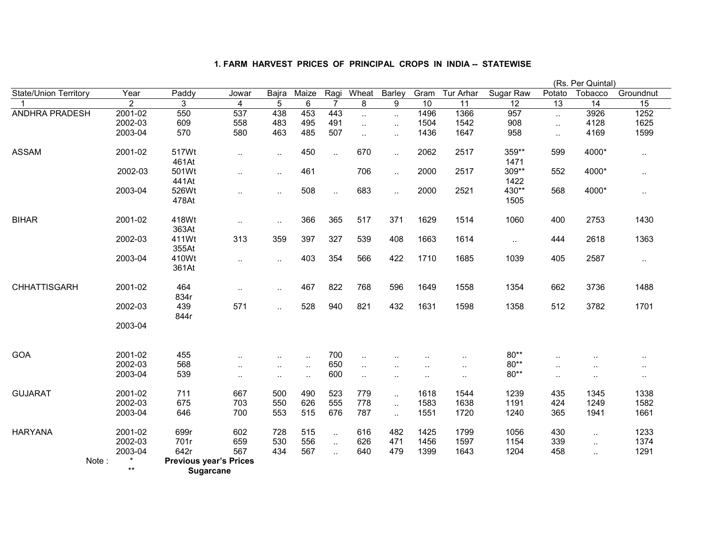|                              |       |         |                               |                      |           |           |                |              |                      |                      |           |               |                      | (Rs. Per Quintal) |                      |
|------------------------------|-------|---------|-------------------------------|----------------------|-----------|-----------|----------------|--------------|----------------------|----------------------|-----------|---------------|----------------------|-------------------|----------------------|
| <b>State/Union Territory</b> |       | Year    | Paddy                         | Jowar                | Bajra     | Maize     | Ragi           | Wheat        | Barley               | Gram                 | Tur Arhar | Sugar Raw     | Potato               | Tobacco           | Groundnut            |
|                              |       | 2       | 3                             | 4                    | 5         | 6         | $\overline{7}$ | 8            | 9                    | 10                   | 11        | 12            | $\overline{13}$      | 14                | 15                   |
| ANDHRA PRADESH               |       | 2001-02 | 550                           | 537                  | 438       | 453       | 443            | u.           | $\ldots$             | 1496                 | 1366      | 957           | $\ddot{\phantom{a}}$ | 3926              | 1252                 |
|                              |       | 2002-03 | 609                           | 558                  | 483       | 495       | 491            | $\ddotsc$    | $\ldots$             | 1504                 | 1542      | 908           | $\ddotsc$            | 4128              | 1625                 |
|                              |       | 2003-04 | 570                           | 580                  | 463       | 485       | 507            | $\mathbf{L}$ | $\ddotsc$            | 1436                 | 1647      | 958           | $\ddotsc$            | 4169              | 1599                 |
| <b>ASSAM</b>                 |       | 2001-02 | 517Wt<br>461At                | $\ddotsc$            | $\sim$    | 450       | $\ddotsc$      | 670          | $\ldots$             | 2062                 | 2517      | 359**<br>1471 | 599                  | 4000*             | $\sim$               |
|                              |       | 2002-03 | 501Wt<br>441At                | $\cdot$ .            | $\sim$    | 461       |                | 706          | $\sim$               | 2000                 | 2517      | 309**<br>1422 | 552                  | 4000*             | $\sim$               |
|                              |       | 2003-04 | 526Wt<br>478At                | $\cdot$ .            | $\sim$    | 508       | $\sim$         | 683          | $\ldots$             | 2000                 | 2521      | 430**<br>1505 | 568                  | 4000*             | $\sim$ $\sim$        |
| <b>BIHAR</b>                 |       | 2001-02 | 418Wt<br>363At                | $\ddot{\phantom{1}}$ | $\sim$    | 366       | 365            | 517          | 371                  | 1629                 | 1514      | 1060          | 400                  | 2753              | 1430                 |
|                              |       | 2002-03 | 411Wt<br>355At                | 313                  | 359       | 397       | 327            | 539          | 408                  | 1663                 | 1614      | $\ddotsc$     | 444                  | 2618              | 1363                 |
|                              |       | 2003-04 | 410Wt<br>361At                | $\ddotsc$            | $\sim$    | 403       | 354            | 566          | 422                  | 1710                 | 1685      | 1039          | 405                  | 2587              | $\sim$               |
| <b>CHHATTISGARH</b>          |       | 2001-02 | 464<br>834r                   | $\ddotsc$            | $\sim$    | 467       | 822            | 768          | 596                  | 1649                 | 1558      | 1354          | 662                  | 3736              | 1488                 |
|                              |       | 2002-03 | 439<br>844r                   | 571                  | $\ddotsc$ | 528       | 940            | 821          | 432                  | 1631                 | 1598      | 1358          | 512                  | 3782              | 1701                 |
|                              |       | 2003-04 |                               |                      |           |           |                |              |                      |                      |           |               |                      |                   |                      |
| <b>GOA</b>                   |       | 2001-02 | 455                           | $\ddot{\phantom{a}}$ | $\ddotsc$ | $\ddotsc$ | 700            | $\ddotsc$    | $\ddot{\phantom{0}}$ | $\ddot{\phantom{a}}$ | $\ddotsc$ | $80**$        | $\ddotsc$            | $\ddotsc$         | $\ddot{\phantom{a}}$ |
|                              |       | 2002-03 | 568                           | $\ddot{\phantom{0}}$ | $\ddotsc$ | $\ddotsc$ | 650            | $\ldots$     | $\ddotsc$            | $\ddot{\phantom{a}}$ | $\sim$    | $80**$        | $\ddotsc$            | $\ddotsc$         | $\sim$               |
|                              |       | 2003-04 | 539                           | $\ddotsc$            | $\ldots$  | $\ddotsc$ | 600            | $\ddotsc$    | $\ddot{\phantom{a}}$ | $\ddotsc$            | $\sim$ .  | $80**$        | $\cdot$              | $\sim$ $\sim$     | $\ddotsc$            |
| <b>GUJARAT</b>               |       | 2001-02 | 711                           | 667                  | 500       | 490       | 523            | 779          | $\ddotsc$            | 1618                 | 1544      | 1239          | 435                  | 1345              | 1338                 |
|                              |       | 2002-03 | 675                           | 703                  | 550       | 626       | 555            | 778          | $\ldots$             | 1583                 | 1638      | 1191          | 424                  | 1249              | 1582                 |
|                              |       | 2003-04 | 646                           | 700                  | 553       | 515       | 676            | 787          | $\ldots$             | 1551                 | 1720      | 1240          | 365                  | 1941              | 1661                 |
| <b>HARYANA</b>               |       | 2001-02 | 699r                          | 602                  | 728       | 515       | $\sim$         | 616          | 482                  | 1425                 | 1799      | 1056          | 430                  | $\sim$            | 1233                 |
|                              |       | 2002-03 | 701r                          | 659                  | 530       | 556       | $\sim$         | 626          | 471                  | 1456                 | 1597      | 1154          | 339                  | $\sim$            | 1374                 |
|                              |       | 2003-04 | 642r                          | 567                  | 434       | 567       | $\ddotsc$      | 640          | 479                  | 1399                 | 1643      | 1204          | 458                  | $\sim$            | 1291                 |
|                              | Note: |         | <b>Previous year's Prices</b> |                      |           |           |                |              |                      |                      |           |               |                      |                   |                      |
|                              |       | $***$   | Sugarcane                     |                      |           |           |                |              |                      |                      |           |               |                      |                   |                      |

**Sugarcane**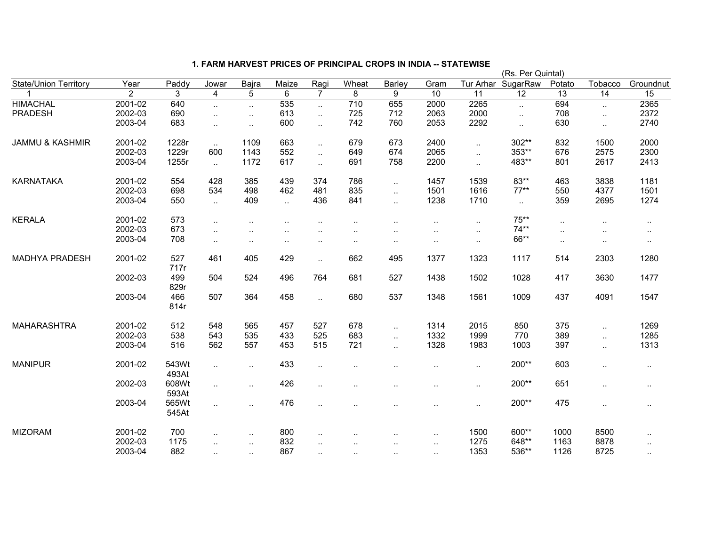|                              |         |                |                             |           |                             |                      |                      |                      |                      |           | (Rs. Per Quintal) |           |           |           |
|------------------------------|---------|----------------|-----------------------------|-----------|-----------------------------|----------------------|----------------------|----------------------|----------------------|-----------|-------------------|-----------|-----------|-----------|
| <b>State/Union Territory</b> | Year    | Paddy          | Jowar                       | Bajra     | Maize                       | Ragi                 | Wheat                | Barley               | Gram                 | Tur Arhar | SugarRaw          | Potato    | Tobacco   | Groundnut |
|                              | 2       | 3              | 4                           | 5         | 6                           | $\overline{7}$       | 8                    | 9                    | 10                   | 11        | 12                | 13        | 14        | 15        |
| <b>HIMACHAL</b>              | 2001-02 | 640            | $\ddotsc$                   | $\ddotsc$ | 535                         | $\ddot{\phantom{a}}$ | $\overline{710}$     | 655                  | 2000                 | 2265      | $\ddotsc$         | 694       | $\ddotsc$ | 2365      |
| <b>PRADESH</b>               | 2002-03 | 690            | $\ddot{\phantom{1}}$        | $\ldots$  | 613                         | $\ddotsc$            | 725                  | 712                  | 2063                 | 2000      | $\ddotsc$         | 708       | $\ddotsc$ | 2372      |
|                              | 2003-04 | 683            | $\ddot{\phantom{1}}$        | $\ldots$  | 600                         | $\mathbf{r}$ .       | 742                  | 760                  | 2053                 | 2292      | $\ddotsc$         | 630       | $\ddotsc$ | 2740      |
| <b>JAMMU &amp; KASHMIR</b>   | 2001-02 | 1228r          | $\sim$                      | 1109      | 663                         | $\ddotsc$            | 679                  | 673                  | 2400                 | $\ddotsc$ | 302**             | 832       | 1500      | 2000      |
|                              | 2002-03 | 1229r          | 600                         | 1143      | 552                         | $\ddotsc$            | 649                  | 674                  | 2065                 | $\ddotsc$ | 353**             | 676       | 2575      | 2300      |
|                              | 2003-04 | 1255r          | $\sim$                      | 1172      | 617                         | $\ddotsc$            | 691                  | 758                  | 2200                 | $\ddotsc$ | 483**             | 801       | 2617      | 2413      |
| <b>KARNATAKA</b>             | 2001-02 | 554            | 428                         | 385       | 439                         | 374                  | 786                  | $\ddotsc$            | 1457                 | 1539      | 83**              | 463       | 3838      | 1181      |
|                              | 2002-03 | 698            | 534                         | 498       | 462                         | 481                  | 835                  | $\sim$               | 1501                 | 1616      | $77***$           | 550       | 4377      | 1501      |
|                              | 2003-04 | 550            | $\mathcal{L}_{\mathcal{A}}$ | 409       | $\mathcal{L}_{\mathcal{A}}$ | 436                  | 841                  | $\ddotsc$            | 1238                 | 1710      | $\sim$            | 359       | 2695      | 1274      |
| <b>KERALA</b>                | 2001-02 | 573            | $\ddotsc$                   |           |                             |                      |                      |                      | $\cdot$ .            | $\sim$    | $75**$            | $\cdot$ . |           | $\sim$    |
|                              | 2002-03 | 673            |                             |           |                             |                      | $\ddotsc$            |                      |                      | $\sim$    | $74**$            | $\cdot$ . |           | $\cdot$ . |
|                              | 2003-04 | 708            | $\ddotsc$                   | $\cdot$ . | $\ddot{\phantom{a}}$        | $\ddotsc$            | $\ddotsc$            | $\cdot$ .            | $\ddotsc$            | $\sim$    | 66**              | $\cdot$ . |           |           |
| MADHYA PRADESH               | 2001-02 | 527<br>717r    | 461                         | 405       | 429                         | $\ddotsc$            | 662                  | 495                  | 1377                 | 1323      | 1117              | 514       | 2303      | 1280      |
|                              | 2002-03 | 499<br>829r    | 504                         | 524       | 496                         | 764                  | 681                  | 527                  | 1438                 | 1502      | 1028              | 417       | 3630      | 1477      |
|                              | 2003-04 | 466<br>814r    | 507                         | 364       | 458                         | Ω.                   | 680                  | 537                  | 1348                 | 1561      | 1009              | 437       | 4091      | 1547      |
| <b>MAHARASHTRA</b>           | 2001-02 | 512            | 548                         | 565       | 457                         | 527                  | 678                  | $\ldots$             | 1314                 | 2015      | 850               | 375       | $\ddotsc$ | 1269      |
|                              | 2002-03 | 538            | 543                         | 535       | 433                         | 525                  | 683                  | $\ddot{\phantom{a}}$ | 1332                 | 1999      | 770               | 389       | $\ddotsc$ | 1285      |
|                              | 2003-04 | 516            | 562                         | 557       | 453                         | 515                  | 721                  | $\ddotsc$            | 1328                 | 1983      | 1003              | 397       | $\ddotsc$ | 1313      |
| <b>MANIPUR</b>               | 2001-02 | 543Wt<br>493At | $\ddotsc$                   | $\ddotsc$ | 433                         | $\ddotsc$            | $\ddotsc$            | $\ddot{\phantom{a}}$ | $\sim$               | $\ddotsc$ | 200**             | 603       | $\cdot$ . | $\ldots$  |
|                              | 2002-03 | 608Wt<br>593At | $\ddotsc$                   | $\cdot$ . | 426                         | $\ddotsc$            |                      |                      | $\ddot{\phantom{a}}$ | $\sim$    | 200**             | 651       | $\cdot$ . | $\cdot$ . |
|                              | 2003-04 | 565Wt<br>545At | $\ddot{\phantom{1}}$        | $\cdot$ . | 476                         | $\ddotsc$            |                      |                      | $\cdot$ .            | $\sim$    | 200**             | 475       | $\cdot$ . | $\sim$    |
| <b>MIZORAM</b>               | 2001-02 | 700            | $\ddot{\phantom{a}}$        | $\ldots$  | 800                         | $\ddot{\phantom{a}}$ |                      |                      | $\ddotsc$            | 1500      | 600**             | 1000      | 8500      | $\sim$    |
|                              | 2002-03 | 1175           | $\ddotsc$                   | $\ldots$  | 832                         | $\ddotsc$            | $\ddot{\phantom{a}}$ | ٠.                   | $\sim$               | 1275      | 648**             | 1163      | 8878      |           |
|                              | 2003-04 | 882            | $\ddotsc$                   | $\ldots$  | 867                         | $\ddotsc$            | $\ddotsc$            | $\ddotsc$            | $\cdot$ .            | 1353      | 536**             | 1126      | 8725      | $\ddotsc$ |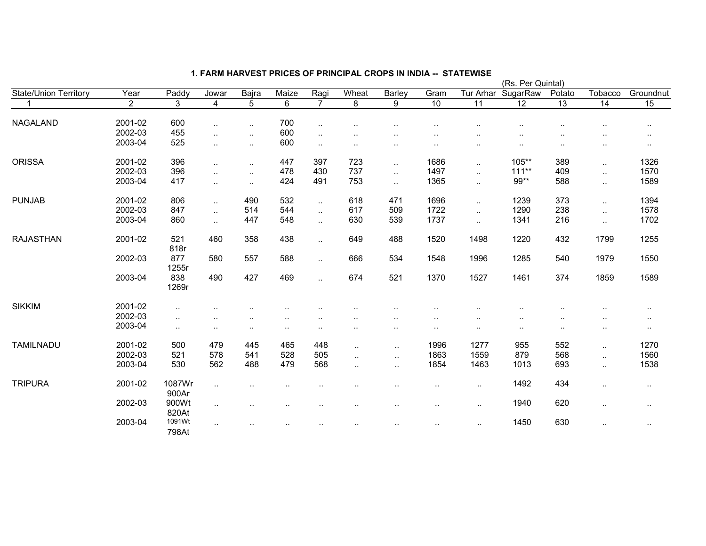|                              |         |              |                      |           |           |                             |                      |                      |                 |                      | (Rs. Per Quintal) |                 |                 |                      |
|------------------------------|---------|--------------|----------------------|-----------|-----------|-----------------------------|----------------------|----------------------|-----------------|----------------------|-------------------|-----------------|-----------------|----------------------|
| <b>State/Union Territory</b> | Year    | Paddy        | Jowar                | Bajra     | Maize     | Ragi                        | Wheat                | Barley               | Gram            | Tur Arhar            | SugarRaw          | Potato          | Tobacco         | Groundnut            |
|                              | 2       | 3            | $\overline{4}$       | 5         | 6         | $\overline{7}$              | 8                    | 9                    | $\overline{10}$ | 11                   | $\overline{12}$   | $\overline{13}$ | $\overline{14}$ | 15                   |
| NAGALAND                     | 2001-02 | 600          |                      |           | 700       |                             |                      |                      |                 |                      |                   |                 |                 |                      |
|                              | 2002-03 | 455          |                      | $\cdot$ . | 600       | $\cdot$ .                   |                      |                      |                 |                      |                   |                 |                 | $\cdot$ .            |
|                              | 2003-04 | 525          |                      | $\ddotsc$ | 600       | $\cdot$ .                   |                      |                      |                 |                      |                   |                 |                 |                      |
|                              |         |              | $\ddotsc$            | $\sim$    |           | $\ddotsc$                   | $\cdot$ .            |                      | $\cdot$ .       |                      | $\sim$            | $\cdot$ .       |                 | $\cdot$ .            |
| <b>ORISSA</b>                | 2001-02 | 396          | $\ddotsc$            | $\ddotsc$ | 447       | 397                         | 723                  | $\ddotsc$            | 1686            | $\ddotsc$            | $105***$          | 389             | $\sim$          | 1326                 |
|                              | 2002-03 | 396          | $\ddotsc$            | $\sim$    | 478       | 430                         | 737                  | $\cdot$ .            | 1497            | $\ddotsc$            | $111***$          | 409             | $\sim$          | 1570                 |
|                              | 2003-04 | 417          | $\ddot{\phantom{a}}$ | $\ddotsc$ | 424       | 491                         | 753                  | $\ddotsc$            | 1365            | $\ddotsc$            | 99**              | 588             | $\ddotsc$       | 1589                 |
| <b>PUNJAB</b>                | 2001-02 | 806          | $\ddotsc$            | 490       | 532       | $\sim$                      | 618                  | 471                  | 1696            | $\ddotsc$            | 1239              | 373             |                 | 1394                 |
|                              | 2002-03 | 847          |                      | 514       | 544       | $\mathcal{L}_{\mathcal{A}}$ | 617                  | 509                  | 1722            | $\ddot{\phantom{a}}$ | 1290              | 238             | $\sim$          | 1578                 |
|                              | 2003-04 | 860          | $\ddotsc$            | 447       | 548       |                             | 630                  | 539                  | 1737            |                      | 1341              | 216             | $\ddotsc$       | 1702                 |
|                              |         |              | $\ddotsc$            |           |           | $\ddotsc$                   |                      |                      |                 | $\ddotsc$            |                   |                 | $\ddotsc$       |                      |
| <b>RAJASTHAN</b>             | 2001-02 | 521          | 460                  | 358       | 438       | $\sim$                      | 649                  | 488                  | 1520            | 1498                 | 1220              | 432             | 1799            | 1255                 |
|                              |         | 818r         |                      |           |           |                             |                      |                      |                 |                      |                   |                 |                 |                      |
|                              | 2002-03 | 877<br>1255r | 580                  | 557       | 588       | $\mathbf{r}$ .              | 666                  | 534                  | 1548            | 1996                 | 1285              | 540             | 1979            | 1550                 |
|                              | 2003-04 |              |                      | 427       | 469       |                             | 674                  | 521                  |                 | 1527                 | 1461              | 374             |                 |                      |
|                              |         | 838<br>1269r | 490                  |           |           | $\ddotsc$                   |                      |                      | 1370            |                      |                   |                 | 1859            | 1589                 |
| <b>SIKKIM</b>                | 2001-02 | $\sim$       |                      |           |           |                             |                      |                      |                 |                      |                   |                 |                 | $\cdot$ .            |
|                              | 2002-03 | $\ddotsc$    |                      |           |           |                             |                      |                      |                 |                      |                   |                 |                 |                      |
|                              | 2003-04 | $\sim$       | $\cdot$ .            | ٠.        | $\cdot$ . |                             |                      | . .                  |                 | $\cdot$ .            | ٠.                |                 | $\cdot$ .       | $\cdot$ .            |
|                              |         |              |                      |           |           |                             |                      |                      |                 |                      |                   |                 |                 |                      |
| <b>TAMILNADU</b>             | 2001-02 | 500          | 479                  | 445       | 465       | 448                         | $\ddotsc$            | $\cdot$ .            | 1996            | 1277                 | 955               | 552             | $\sim$          | 1270                 |
|                              | 2002-03 | 521          | 578                  | 541       | 528       | 505                         | $\ddotsc$            | $\ddot{\phantom{a}}$ | 1863            | 1559                 | 879               | 568             | $\ldots$        | 1560                 |
|                              | 2003-04 | 530          | 562                  | 488       | 479       | 568                         | $\ddot{\phantom{a}}$ | $\ddotsc$            | 1854            | 1463                 | 1013              | 693             | $\ldots$        | 1538                 |
| <b>TRIPURA</b>               | 2001-02 | 1087Wr       |                      |           |           |                             |                      |                      |                 |                      | 1492              | 434             |                 |                      |
|                              |         | 900Ar        | $\sim$ $\sim$        |           |           |                             |                      | $\cdot$ .            | $\sim$          | $\cdot$ .            |                   |                 | $\cdot$ .       | $\cdot$ .            |
|                              | 2002-03 | 900Wt        | $\sim$               |           | $\cdot$ . |                             |                      |                      | $\cdot$ .       | $\sim$               | 1940              | 620             | $\cdot$ .       | $\sim$               |
|                              |         | 820At        |                      |           |           |                             |                      |                      |                 |                      |                   |                 |                 |                      |
|                              | 2003-04 | 1091Wt       | $\ddotsc$            |           |           |                             |                      |                      |                 | $\ddotsc$            | 1450              | 630             | $\cdot$ .       | $\ddot{\phantom{1}}$ |
|                              |         | 798At        |                      |           |           |                             |                      |                      |                 |                      |                   |                 |                 |                      |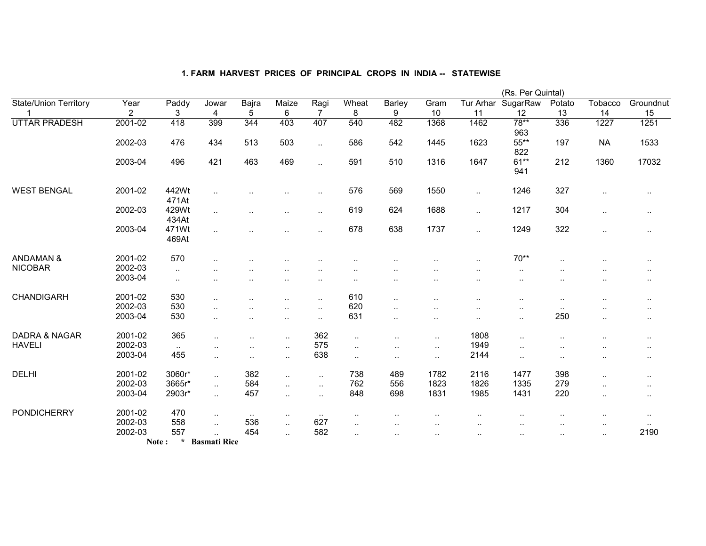|                              |                |                  |                             |                      |                      |                      |                      |                      |                      |                      | (Rs. Per Quintal) |                        |                      |                      |
|------------------------------|----------------|------------------|-----------------------------|----------------------|----------------------|----------------------|----------------------|----------------------|----------------------|----------------------|-------------------|------------------------|----------------------|----------------------|
| <b>State/Union Territory</b> | Year           | Paddy            | Jowar                       | Bajra                | Maize                | Ragi                 | Wheat                | Barley               | Gram                 | Tur Arhar            | SugarRaw          | Potato                 | Tobacco              | Groundnut            |
|                              | $\overline{2}$ | 3                | 4                           | $\overline{5}$       | $\overline{6}$       | $\overline{7}$       | $\overline{8}$       | $\overline{9}$       | 10                   | 11                   | 12                | 13                     | 14                   | 15                   |
| <b>UTTAR PRADESH</b>         | 2001-02        | 418              | 399                         | 344                  | 403                  | 407                  | 540                  | 482                  | 1368                 | 1462                 | $78**$<br>963     | 336                    | 1227                 | 1251                 |
|                              | 2002-03        | 476              | 434                         | 513                  | 503                  | $\ddotsc$            | 586                  | 542                  | 1445                 | 1623                 | 55**<br>822       | 197                    | <b>NA</b>            | 1533                 |
|                              | 2003-04        | 496              | 421                         | 463                  | 469                  | $\ddotsc$            | 591                  | 510                  | 1316                 | 1647                 | $61**$<br>941     | 212                    | 1360                 | 17032                |
| <b>WEST BENGAL</b>           | 2001-02        | 442Wt<br>471At   | $\ddotsc$                   |                      |                      | ٠.                   | 576                  | 569                  | 1550                 | $\ddotsc$            | 1246              | 327                    | $\cdot$ .            | $\cdot$ .            |
|                              | 2002-03        | 429Wt<br>434At   | $\ddot{\phantom{a}}$        |                      | $\ddotsc$            | $\ddot{\phantom{a}}$ | 619                  | 624                  | 1688                 | $\sim$               | 1217              | 304                    | $\cdot$ .            | $\sim$ $\sim$        |
|                              | 2003-04        | 471Wt<br>469At   | $\ddotsc$                   |                      |                      | $\ddot{\phantom{a}}$ | 678                  | 638                  | 1737                 | $\ddotsc$            | 1249              | 322                    | $\ddot{\phantom{a}}$ |                      |
| <b>ANDAMAN &amp;</b>         | 2001-02        | 570              |                             |                      |                      |                      |                      |                      |                      |                      | $70**$            |                        |                      |                      |
| <b>NICOBAR</b>               | 2002-03        | $\cdot$ .        | $\ddotsc$                   |                      |                      | ٠.                   | $\ddot{\phantom{a}}$ |                      | $\sim$ $\sim$        | $\sim$               | $\sim$            | $\ddot{\phantom{1}}$ . |                      | $\cdot$ .            |
|                              | 2003-04        | $\sim$           | $\ddot{\phantom{a}}$        |                      | $\ddotsc$            | $\ddotsc$            |                      | $\cdot$ .            | $\ddotsc$            | $\ddotsc$            | $\ddotsc$         | $\ddotsc$              | $\ddotsc$            | $\cdot$ .            |
| <b>CHANDIGARH</b>            | 2001-02        | 530              | $\sim$                      | $\cdot$ .            | $\ddot{\phantom{a}}$ | $\ddot{\phantom{a}}$ | 610                  | $\ddotsc$            | $\ddot{\phantom{a}}$ | $\ddot{\phantom{a}}$ |                   | $\ddotsc$              | $\ddot{\phantom{a}}$ | $\sim$               |
|                              | 2002-03        | 530              | $\ddotsc$                   | $\cdot$ .            | $\ddotsc$            | $\ddotsc$            | 620                  | $\ddotsc$            | $\ddot{\phantom{a}}$ | $\ddotsc$            |                   | $\sim$                 | $\ddot{\phantom{a}}$ | $\sim$ $\sim$        |
|                              | 2003-04        | 530              | $\ddotsc$                   | $\cdot$ .            | $\ddotsc$            | $\ddot{\phantom{1}}$ | 631                  | $\ddotsc$            | $\ddot{\phantom{0}}$ | $\ddot{\phantom{a}}$ | $\cdot$ .         | 250                    | $\sim$               | $\cdot$ .            |
| <b>DADRA &amp; NAGAR</b>     | 2001-02        | 365              | $\ddotsc$                   | $\ddot{\phantom{a}}$ | $\cdot$ .            | 362                  | $\ldots$             |                      | $\cdot$ .            | 1808                 |                   |                        | $\cdot$ .            | ٠.                   |
| <b>HAVELI</b>                | 2002-03        | $\sim$           | $\ddot{\phantom{a}}$        |                      | $\cdot$ .            | 575                  | $\ldots$             | $\ldots$             | $\sim$               | 1949                 |                   |                        |                      | $\ddot{\phantom{a}}$ |
|                              | 2003-04        | 455              | $\cdot$ .                   |                      | $\cdot$ .            | 638                  | $\cdot$ .            | $\ddot{\phantom{a}}$ | $\cdot$ .            | 2144                 | $\cdot$ .         |                        |                      |                      |
| <b>DELHI</b>                 | 2001-02        | 3060r*           | $\sim$                      | 382                  | $\ddotsc$            | $\cdot$ .            | 738                  | 489                  | 1782                 | 2116                 | 1477              | 398                    | $\cdot$ .            | $\ddotsc$            |
|                              | 2002-03        | 3665r*           | $\mathcal{L}_{\mathcal{A}}$ | 584                  | $\ddotsc$            | $\ddotsc$            | 762                  | 556                  | 1823                 | 1826                 | 1335              | 279                    | $\cdot$ .            | $\sim$ $\sim$        |
|                              | 2003-04        | 2903r*           | $\sim$                      | 457                  | $\cdot$ .            | $\cdot$ .            | 848                  | 698                  | 1831                 | 1985                 | 1431              | 220                    | $\ddotsc$            | $\sim$               |
| <b>PONDICHERRY</b>           | 2001-02        | 470              | $\sim$                      | $\sim$ $\sim$        | $\cdots$             | $\sim$               | $\cdots$             |                      | $\cdot$              |                      | $\sim$            | $\cdot$ .              | $\cdots$             | $\sim$               |
|                              | 2002-03        | 558              | $\ddotsc$                   | 536                  | $\cdot$ .            | 627                  | $\cdot$ .            |                      | . .                  |                      |                   | $\cdot$ .              | $\cdot$ .            | $\sim$               |
|                              | 2002-03        | 557              | $\ddotsc$                   | 454                  | $\ddotsc$            | 582                  | $\ddotsc$            |                      |                      |                      |                   |                        | $\ddotsc$            | 2190                 |
|                              |                | $\star$<br>Note: | <b>Basmati Rice</b>         |                      |                      |                      |                      |                      |                      |                      |                   |                        |                      |                      |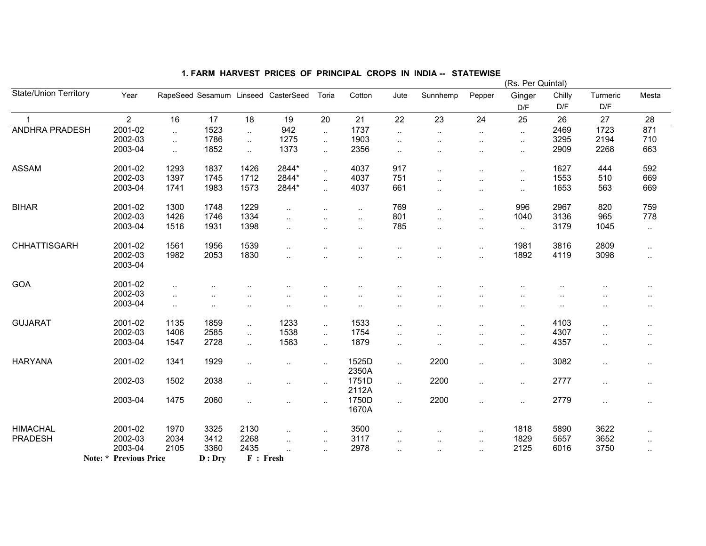| <b>State/Union Territory</b> |                               |                             |        |           |                                     |                      |                      |           |                        |                      | (Rs. Per Quintal)    |        |                      |                      |
|------------------------------|-------------------------------|-----------------------------|--------|-----------|-------------------------------------|----------------------|----------------------|-----------|------------------------|----------------------|----------------------|--------|----------------------|----------------------|
|                              | Year                          |                             |        |           | RapeSeed Sesamum Linseed CasterSeed | Toria                | Cotton               | Jute      | Sunnhemp               | Pepper               | Ginger               | Chilly | Turmeric             | Mesta                |
|                              |                               |                             |        |           |                                     |                      |                      |           |                        |                      | D/F                  | D/F    | D/F                  |                      |
|                              | $\overline{2}$                | 16                          | 17     | 18        | 19                                  | 20                   | 21                   | 22        | 23                     | 24                   | 25                   | 26     | 27                   | 28                   |
| ANDHRA PRADESH               | 2001-02                       | $\ddotsc$                   | 1523   | $\ddotsc$ | 942                                 | $\ddotsc$            | 1737                 | $\sim$    | $\ldots$               | $\sim$               | $\sim$               | 2469   | 1723                 | 871                  |
|                              | 2002-03                       | $\mathcal{L}_{\mathcal{A}}$ | 1786   | $\ddotsc$ | 1275                                | $\ddotsc$            | 1903                 | $\ddotsc$ | ٠.                     | $\cdot$ .            | $\ddotsc$            | 3295   | 2194                 | 710                  |
|                              | 2003-04                       | $\ddotsc$                   | 1852   | $\ddotsc$ | 1373                                | $\sim$               | 2356                 | $\ddotsc$ | $\ddot{\phantom{a}}$   | $\ddot{\phantom{a}}$ | $\sim$               | 2909   | 2268                 | 663                  |
| <b>ASSAM</b>                 | 2001-02                       | 1293                        | 1837   | 1426      | 2844*                               | $\ddotsc$            | 4037                 | 917       | $\ddot{\phantom{a}}$ . | $\ddotsc$            | $\ddotsc$            | 1627   | 444                  | 592                  |
|                              | 2002-03                       | 1397                        | 1745   | 1712      | 2844*                               | $\ddotsc$            | 4037                 | 751       | ٠.                     |                      | $\ddotsc$            | 1553   | 510                  | 669                  |
|                              | 2003-04                       | 1741                        | 1983   | 1573      | 2844*                               | $\ddotsc$            | 4037                 | 661       | $\ddot{\phantom{a}}$ . | $\cdot$ .            | $\ddotsc$            | 1653   | 563                  | 669                  |
| <b>BIHAR</b>                 | 2001-02                       | 1300                        | 1748   | 1229      | $\ddot{\phantom{a}}$                |                      | $\ddot{\phantom{a}}$ | 769       | Ω.                     | $\cdot$ .            | 996                  | 2967   | 820                  | 759                  |
|                              | 2002-03                       | 1426                        | 1746   | 1334      | $\ddot{\phantom{a}}$                | $\ddot{\phantom{a}}$ | $\ddotsc$            | 801       | $\ddotsc$              | $\ddotsc$            | 1040                 | 3136   | 965                  | 778                  |
|                              | 2003-04                       | 1516                        | 1931   | 1398      |                                     |                      | $\ddotsc$            | 785       | $\ddot{\phantom{a}}$   | $\sim$               | $\sim$               | 3179   | 1045                 | $\sim$               |
| <b>CHHATTISGARH</b>          | 2001-02                       | 1561                        | 1956   | 1539      | $\ddot{\phantom{a}}$                |                      |                      |           | $\ddotsc$              | $\ddot{\phantom{a}}$ | 1981                 | 3816   | 2809                 | $\sim$               |
|                              | 2002-03<br>2003-04            | 1982                        | 2053   | 1830      |                                     |                      |                      |           |                        | $\cdot$ .            | 1892                 | 4119   | 3098                 | $\sim$               |
|                              |                               |                             |        |           |                                     |                      |                      |           |                        |                      |                      |        |                      |                      |
| GOA                          | 2001-02                       | $\ddotsc$                   |        |           |                                     |                      |                      |           |                        |                      |                      |        |                      |                      |
|                              | 2002-03                       | $\ddot{\phantom{a}}$ .      |        |           |                                     |                      |                      |           |                        |                      |                      |        |                      |                      |
|                              | 2003-04                       | $\cdot$ .                   |        |           |                                     | $\ddotsc$            |                      |           |                        |                      | ٠.                   |        |                      | $\ddot{\phantom{a}}$ |
| <b>GUJARAT</b>               | 2001-02                       | 1135                        | 1859   | $\ddotsc$ | 1233                                | $\sim$               | 1533                 | $\cdot$ . |                        | $\cdot$ .            | $\ddot{\phantom{a}}$ | 4103   | $\ddot{\phantom{a}}$ | . .                  |
|                              | 2002-03                       | 1406                        | 2585   | $\ddotsc$ | 1538                                | $\ddotsc$            | 1754                 |           |                        | $\cdot$ .            | $\ddotsc$            | 4307   | $\ddotsc$            |                      |
|                              | 2003-04                       | 1547                        | 2728   | $\ddotsc$ | 1583                                | $\sim$               | 1879                 | $\ddotsc$ | $\ddot{\phantom{a}}$   | $\ddotsc$            | $\ddotsc$            | 4357   | $\ddot{\phantom{1}}$ | $\ldots$             |
| <b>HARYANA</b>               | 2001-02                       | 1341                        | 1929   |           | ٠.                                  | $\sim$               | 1525D<br>2350A       | $\ldots$  | 2200                   |                      | $\ddotsc$            | 3082   | $\ddot{\phantom{1}}$ | $\sim$               |
|                              | 2002-03                       | 1502                        | 2038   |           |                                     | $\ddotsc$            | 1751D                | $\sim$    | 2200                   | $\cdot$ .            | $\sim$               | 2777   | $\ddotsc$            | $\sim$               |
|                              |                               |                             |        |           |                                     |                      | 2112A                |           |                        |                      |                      |        |                      |                      |
|                              | 2003-04                       | 1475                        | 2060   | $\ddotsc$ |                                     | $\sim$               | 1750D<br>1670A       | $\ldots$  | 2200                   | $\ldots$             | $\ddotsc$            | 2779   | $\ddotsc$            | $\sim$               |
| <b>HIMACHAL</b>              | 2001-02                       | 1970                        | 3325   | 2130      | $\ddotsc$                           | $\sim$               | 3500                 | $\cdot$ . | $\ddotsc$              | $\ldots$             | 1818                 | 5890   | 3622                 | $\sim$               |
| <b>PRADESH</b>               | 2002-03                       | 2034                        | 3412   | 2268      | $\ddotsc$                           | $\ddotsc$            | 3117                 | $\cdot$ . |                        | $\sim$               | 1829                 | 5657   | 3652                 | $\sim$               |
|                              | 2003-04                       | 2105                        | 3360   | 2435      | $\ddot{\phantom{a}}$                | $\ddotsc$            | 2978                 |           |                        | $\cdot$ .            | 2125                 | 6016   | 3750                 | $\ddotsc$            |
|                              | <b>Note: * Previous Price</b> |                             | D: Dry | F: Fresh  |                                     |                      |                      |           |                        |                      |                      |        |                      |                      |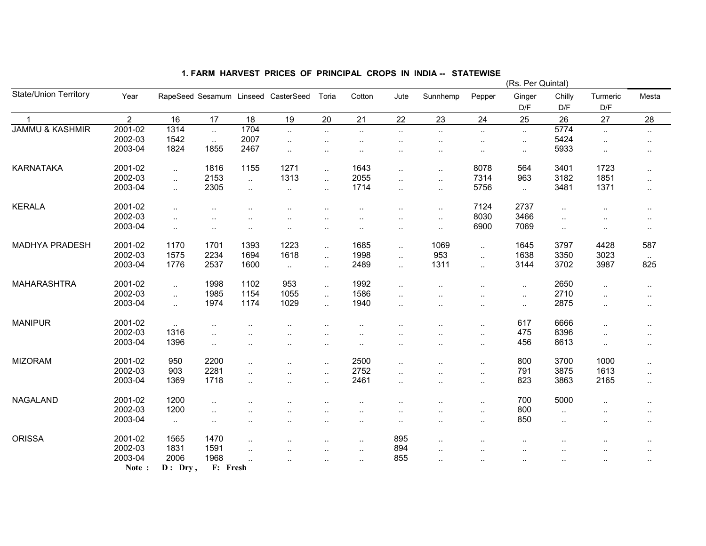|                              |                |           |                      |                        |                                     |                      |                      |                        |                      |                             | (Rs. Per Quintal)    |           |                      |                      |
|------------------------------|----------------|-----------|----------------------|------------------------|-------------------------------------|----------------------|----------------------|------------------------|----------------------|-----------------------------|----------------------|-----------|----------------------|----------------------|
| <b>State/Union Territory</b> | Year           |           |                      |                        | RapeSeed Sesamum Linseed CasterSeed | Toria                | Cotton               | Jute                   | Sunnhemp             | Pepper                      | Ginger               | Chilly    | Turmeric             | Mesta                |
|                              |                |           |                      |                        |                                     |                      |                      |                        |                      |                             | D/F                  | D/F       | D/F                  |                      |
|                              | $\overline{2}$ | 16        | 17                   | 18                     | 19                                  | 20                   | 21                   | 22                     | 23                   | 24                          | 25                   | 26        | 27                   | 28                   |
| <b>JAMMU &amp; KASHMIR</b>   | 2001-02        | 1314      |                      | 1704                   | $\ldots$                            | $\ddotsc$            | $\sim$               | $\sim$                 | $\sim$               | $\sim$                      | $\sim$               | 5774      | $\ddotsc$            | $\sim$               |
|                              | 2002-03        | 1542      | $\ddotsc$            | 2007                   | $\ddotsc$                           | $\ddot{\phantom{a}}$ |                      | $\cdot$ .              | $\ddot{\phantom{0}}$ | $\ddotsc$                   | $\sim$               | 5424      |                      | $\ddot{\phantom{a}}$ |
|                              | 2003-04        | 1824      | 1855                 | 2467                   | $\ddotsc$                           | $\ddotsc$            |                      | $\ddotsc$              | $\ddot{\phantom{0}}$ | $\ddot{\phantom{a}}$        | $\sim$               | 5933      | $\ddot{\phantom{a}}$ | $\ddotsc$            |
| <b>KARNATAKA</b>             | 2001-02        | $\ddotsc$ | 1816                 | 1155                   | 1271                                | $\ddotsc$            | 1643                 | $\ddot{\phantom{a}}$ . | $\cdot$ .            | 8078                        | 564                  | 3401      | 1723                 | $\cdot$ .            |
|                              | 2002-03        | $\ddotsc$ | 2153                 | $\sim$                 | 1313                                | $\ddotsc$            | 2055                 | $\ddotsc$              | $\ldots$             | 7314                        | 963                  | 3182      | 1851                 | $\ddotsc$            |
|                              | 2003-04        | $\ddotsc$ | 2305                 | $\ddotsc$              | $\ldots$                            | $\ddotsc$            | 1714                 | $\ddotsc$              | $\sim$               | 5756                        | $\sim$               | 3481      | 1371                 | $\ddotsc$            |
| <b>KERALA</b>                | 2001-02        | $\ddotsc$ |                      |                        |                                     |                      |                      | $\cdot$ .              | $\cdot$ .            | 7124                        | 2737                 | $\ddotsc$ |                      | $\ddotsc$            |
|                              | 2002-03        | $\ddotsc$ |                      |                        |                                     |                      |                      | $\ddot{\phantom{a}}$   | $\ldots$             | 8030                        | 3466                 | $\ddotsc$ |                      | $\ddotsc$            |
|                              | 2003-04        | $\ddotsc$ | $\cdot$ .            | $\sim$                 | $\ddot{\phantom{0}}$                | $\ddotsc$            | $\ddot{\phantom{a}}$ | $\cdot$ .              | $\sim$               | 6900                        | 7069                 | $\ddotsc$ | ٠.                   | $\cdot$ .            |
| <b>MADHYA PRADESH</b>        | 2001-02        | 1170      | 1701                 | 1393                   | 1223                                | $\ddot{\phantom{a}}$ | 1685                 | $\ddotsc$              | 1069                 | $\mathbf{L}$                | 1645                 | 3797      | 4428                 | 587                  |
|                              | 2002-03        | 1575      | 2234                 | 1694                   | 1618                                | $\ddotsc$            | 1998                 | $\sim$                 | 953                  | $\mathcal{L}_{\mathcal{A}}$ | 1638                 | 3350      | 3023                 | $\ddotsc$            |
|                              | 2003-04        | 1776      | 2537                 | 1600                   | $\sim$                              | $\sim$               | 2489                 | $\sim$                 | 1311                 | $\ddotsc$                   | 3144                 | 3702      | 3987                 | 825                  |
| <b>MAHARASHTRA</b>           | 2001-02        | $\ddotsc$ | 1998                 | 1102                   | 953                                 | $\sim$               | 1992                 | $\sim$                 |                      | $\ddot{\phantom{a}}$        | $\sim$               | 2650      | $\ddotsc$            | $\ddotsc$            |
|                              | 2002-03        | $\ddotsc$ | 1985                 | 1154                   | 1055                                | $\ddotsc$            | 1586                 | $\sim$                 |                      | ٠.                          | $\sim$               | 2710      | $\ddot{\phantom{a}}$ | $\cdot$ .            |
|                              | 2003-04        | $\ddotsc$ | 1974                 | 1174                   | 1029                                | $\ddotsc$            | 1940                 | $\ddotsc$              |                      |                             | $\sim$               | 2875      | $\ddot{\phantom{a}}$ | $\ddotsc$            |
| <b>MANIPUR</b>               | 2001-02        | $\ddotsc$ | $\ddot{\phantom{a}}$ |                        |                                     |                      |                      | $\cdot$ .              |                      | $\ddot{\phantom{a}}$        | 617                  | 6666      | $\ddot{\phantom{a}}$ | $\ddotsc$            |
|                              | 2002-03        | 1316      |                      |                        |                                     |                      |                      |                        |                      | $\ddotsc$                   | 475                  | 8396      |                      | $\sim$               |
|                              | 2003-04        | 1396      | $\ddotsc$            | $\ddot{\phantom{a}}$   | $\cdot$ .                           | . .                  | $\cdot$ .            | $\cdot$ .              | $\cdot$              | $\ldots$                    | 456                  | 8613      | $\ddot{\phantom{a}}$ | $\ddotsc$            |
| <b>MIZORAM</b>               | 2001-02        | 950       | 2200                 | $\ddotsc$              |                                     | $\ddotsc$            | 2500                 | $\ddotsc$              |                      | $\ldots$                    | 800                  | 3700      | 1000                 | $\cdot$ .            |
|                              | 2002-03        | 903       | 2281                 | $\ddotsc$              | $\ddot{\phantom{a}}$                | $\ddotsc$            | 2752                 | $\ddotsc$              | $\cdot$              | $\ddotsc$                   | 791                  | 3875      | 1613                 | $\ddotsc$            |
|                              | 2003-04        | 1369      | 1718                 | $\ddotsc$              | $\ddot{\phantom{a}}$                | $\ddot{\phantom{1}}$ | 2461                 | $\sim$                 | $\cdot$ .            | $\sim$                      | 823                  | 3863      | 2165                 | $\sim$               |
| <b>NAGALAND</b>              | 2001-02        | 1200      |                      |                        |                                     |                      |                      |                        |                      | $\ldots$                    | 700                  | 5000      |                      | $\ddotsc$            |
|                              | 2002-03        | 1200      | $\ddot{\phantom{a}}$ |                        |                                     |                      |                      | $\cdot$ .              |                      | $\ldots$                    | 800                  | $\ddotsc$ |                      | $\ddotsc$            |
|                              | 2003-04        | $\sim$    |                      |                        |                                     |                      |                      | $\cdot$                |                      | $\ddot{\phantom{a}}$        | 850                  | $\ddotsc$ |                      | $\ddotsc$            |
| <b>ORISSA</b>                | 2001-02        | 1565      | 1470                 | $\ddot{\phantom{a}}$ . |                                     |                      | $\cdot$ .            | 895                    | $\cdot$ .            |                             | $\ddot{\phantom{0}}$ |           |                      |                      |
|                              | 2002-03        | 1831      | 1591                 | $\ddotsc$              |                                     |                      | $\cdot$ .            | 894                    | $\ddot{\phantom{a}}$ |                             | $\ddot{\phantom{a}}$ |           |                      |                      |
|                              | 2003-04        | 2006      | 1968                 | $\ddotsc$              |                                     |                      | $\cdot$ .            | 855                    | $\ddot{\phantom{a}}$ |                             | $\ddot{\phantom{1}}$ |           |                      | $\ddot{\phantom{1}}$ |
|                              | Note:          | $D:$ Dry, | F: Fresh             |                        |                                     |                      |                      |                        |                      |                             |                      |           |                      |                      |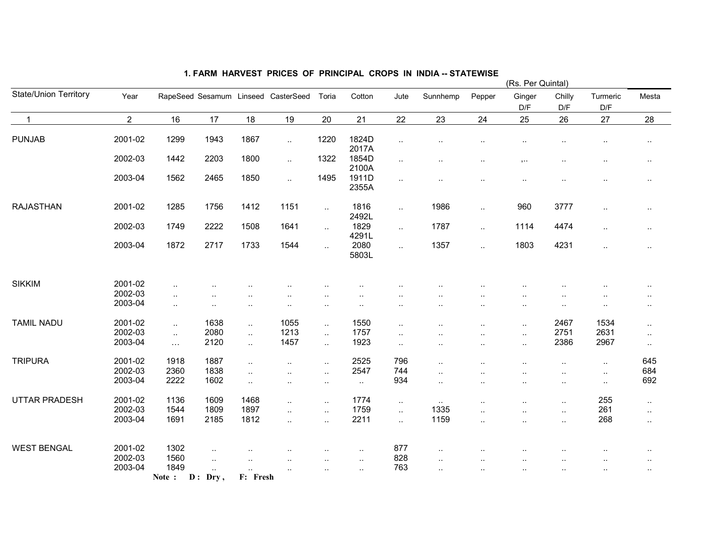|                              |                |                      |                        |                       |                                     |           |                      |                             |                      |                      | (Rs. Per Quintal)        |                      |                      |           |
|------------------------------|----------------|----------------------|------------------------|-----------------------|-------------------------------------|-----------|----------------------|-----------------------------|----------------------|----------------------|--------------------------|----------------------|----------------------|-----------|
| <b>State/Union Territory</b> | Year           |                      |                        |                       | RapeSeed Sesamum Linseed CasterSeed | Toria     | Cotton               | Jute                        | Sunnhemp             | Pepper               | Ginger<br>D/F            | Chilly<br>D/F        | Turmeric<br>D/F      | Mesta     |
| $\overline{1}$               | $\overline{2}$ | 16                   | 17                     | 18                    | 19                                  | 20        | 21                   | 22                          | 23                   | 24                   | 25                       | 26                   | 27                   | 28        |
| <b>PUNJAB</b>                | 2001-02        | 1299                 | 1943                   | 1867                  | $\ddotsc$                           | 1220      | 1824D<br>2017A       | $\sim$                      |                      |                      | $\sim$                   |                      | $\ddot{\phantom{0}}$ | $\cdot$ . |
|                              | 2002-03        | 1442                 | 2203                   | 1800                  | $\ddotsc$                           | 1322      | 1854D<br>2100A       | $\sim$                      | $\ddotsc$            |                      | $, \ldots$               | $\ddotsc$            | $\ldots$             | $\sim$    |
|                              | 2003-04        | 1562                 | 2465                   | 1850                  | $\ldots$                            | 1495      | 1911D<br>2355A       | $\sim$                      | $\ddotsc$            | $\ddotsc$            | $\sim$                   | $\ddotsc$            | $\cdot$ .            | $\sim$    |
| <b>RAJASTHAN</b>             | 2001-02        | 1285                 | 1756                   | 1412                  | 1151                                | $\sim$    | 1816<br>2492L        | $\sim$                      | 1986                 | $\ddotsc$            | 960                      | 3777                 | $\ldots$             | $\sim$    |
|                              | 2002-03        | 1749                 | 2222                   | 1508                  | 1641                                | $\sim$    | 1829<br>4291L        | $\sim$                      | 1787                 | $\ldots$             | 1114                     | 4474                 | $\sim$               | $\sim$    |
|                              | 2003-04        | 1872                 | 2717                   | 1733                  | 1544                                | $\ddotsc$ | 2080<br>5803L        | $\mathcal{L}_{\mathcal{A}}$ | 1357                 | $\ddotsc$            | 1803                     | 4231                 | $\ldots$             | $\sim$    |
| <b>SIKKIM</b>                | 2001-02        | $\sim$               |                        |                       |                                     |           |                      |                             |                      |                      |                          |                      |                      |           |
|                              | 2002-03        | $\cdot$ .            | . .                    | $\ddotsc$             |                                     |           |                      |                             |                      |                      | ٠.                       |                      |                      | $\sim$    |
|                              | 2003-04        | $\cdot$ .            | $\ddotsc$              | $\ddot{\phantom{a}}$  | ٠.                                  |           |                      |                             |                      |                      |                          |                      | ٠.                   | $\ddotsc$ |
| <b>TAMIL NADU</b>            | 2001-02        | $\ddot{\phantom{a}}$ | 1638                   | $\ddot{\phantom{a}}$  | 1055                                | $\ddotsc$ | 1550                 | $\ddotsc$                   |                      | $\ddot{\phantom{a}}$ | $\cdot$ .                | 2467                 | 1534                 | $\ddotsc$ |
|                              | 2002-03        | $\ddotsc$            | 2080                   | $\ddotsc$             | 1213                                | $\ddotsc$ | 1757                 | $\ddotsc$                   | $\ddot{\phantom{a}}$ | $\ddot{\phantom{a}}$ | $\ldots$                 | 2751                 | 2631                 | $\sim$    |
|                              | 2003-04        | $\ldots$             | 2120                   | $\ddotsc$             | 1457                                | $\ddotsc$ | 1923                 | $\sim$                      |                      |                      | $\cdot$ .                | 2386                 | 2967                 | $\sim$    |
| <b>TRIPURA</b>               | 2001-02        | 1918                 | 1887                   | $\ddotsc$             | $\cdot$ .                           | $\sim$    | 2525                 | 796                         | $\cdot$              |                      | $\ddotsc$                | $\ddotsc$            | $\sim$               | 645       |
|                              | 2002-03        | 2360                 | 1838                   | $\ddotsc$             | $\ddot{\phantom{a}}$                | $\ddotsc$ | 2547                 | 744                         | $\ddot{\phantom{a}}$ |                      |                          | $\ddotsc$            | $\sim$               | 684       |
|                              | 2003-04        | 2222                 | 1602                   | $\ddotsc$             | $\ddotsc$                           | $\sim$    | $\sim$               | 934                         | $\cdot$ .            | ٠.                   | $\ddotsc$                | $\sim$               | $\sim$               | 692       |
| UTTAR PRADESH                | 2001-02        | 1136                 | 1609                   | 1468                  | $\ddot{\phantom{a}}$                | $\ddotsc$ | 1774                 | $\sim$                      | $\ddotsc$            |                      | $\ddot{\phantom{a}}$     | $\ddotsc$            | 255                  | $\sim$    |
|                              | 2002-03        | 1544                 | 1809                   | 1897                  | $\ddotsc$                           | $\ddotsc$ | 1759                 | $\sim$                      | 1335                 | $\ddot{\phantom{a}}$ | $\ddotsc$                | $\sim$               | 261                  | $\sim$    |
|                              | 2003-04        | 1691                 | 2185                   | 1812                  | $\ddot{\phantom{a}}$                | $\ddotsc$ | 2211                 | $\mathcal{L}_{\mathcal{A}}$ | 1159                 | $\ddot{\phantom{a}}$ | $\overline{\phantom{a}}$ | $\ddotsc$            | 268                  | $\sim$    |
| <b>WEST BENGAL</b>           | 2001-02        | 1302                 |                        |                       |                                     |           |                      |                             |                      |                      |                          |                      |                      |           |
|                              | 2002-03        | 1560                 | $\ddot{\phantom{a}}$   |                       |                                     |           | $\ddot{\phantom{a}}$ | 877<br>828                  |                      |                      |                          |                      | $\ddot{\phantom{a}}$ | $\ddotsc$ |
|                              | 2003-04        | 1849                 | $\ddotsc$              | $\ddotsc$             |                                     |           | $\cdot$ .            | 763                         | $\ddotsc$            |                      | $\ddot{\phantom{a}}$     |                      |                      |           |
|                              |                | Note:                | $\ddotsc$<br>$D:$ Dry, | $\ddotsc$<br>F: Fresh | $\ddot{\phantom{a}}$                |           | $\cdot$ .            |                             | $\ddot{\phantom{a}}$ |                      | $\ddotsc$                | $\ddot{\phantom{a}}$ |                      |           |